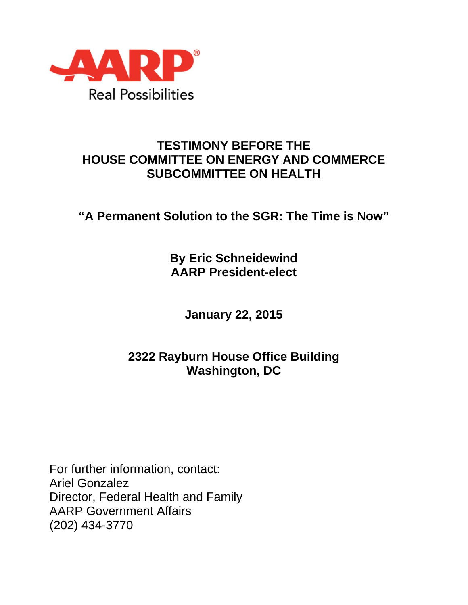

## **TESTIMONY BEFORE THE HOUSE COMMITTEE ON ENERGY AND COMMERCE SUBCOMMITTEE ON HEALTH**

**"A Permanent Solution to the SGR: The Time is Now"** 

**By Eric Schneidewind AARP President-elect** 

**January 22, 2015** 

## **2322 Rayburn House Office Building Washington, DC**

For further information, contact: Ariel Gonzalez Director, Federal Health and Family AARP Government Affairs (202) 434-3770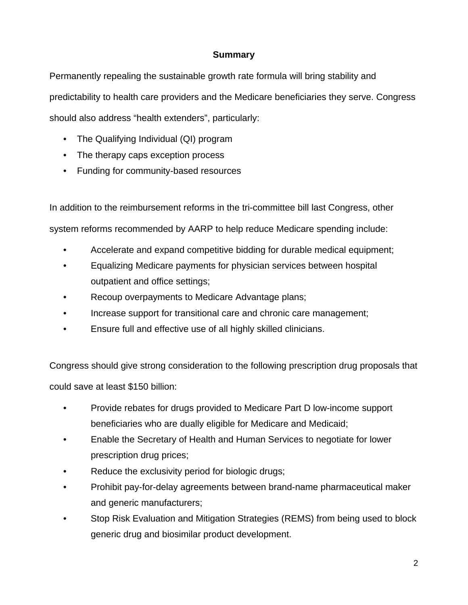## **Summary**

Permanently repealing the sustainable growth rate formula will bring stability and predictability to health care providers and the Medicare beneficiaries they serve. Congress should also address "health extenders", particularly:

- The Qualifying Individual (QI) program
- The therapy caps exception process
- Funding for community-based resources

In addition to the reimbursement reforms in the tri-committee bill last Congress, other system reforms recommended by AARP to help reduce Medicare spending include:

- Accelerate and expand competitive bidding for durable medical equipment;
- Equalizing Medicare payments for physician services between hospital outpatient and office settings;
- Recoup overpayments to Medicare Advantage plans;
- Increase support for transitional care and chronic care management;
- Ensure full and effective use of all highly skilled clinicians.

Congress should give strong consideration to the following prescription drug proposals that could save at least \$150 billion:

- Provide rebates for drugs provided to Medicare Part D low-income support beneficiaries who are dually eligible for Medicare and Medicaid;
- Enable the Secretary of Health and Human Services to negotiate for lower prescription drug prices;
- Reduce the exclusivity period for biologic drugs;
- Prohibit pay-for-delay agreements between brand-name pharmaceutical maker and generic manufacturers;
- Stop Risk Evaluation and Mitigation Strategies (REMS) from being used to block generic drug and biosimilar product development.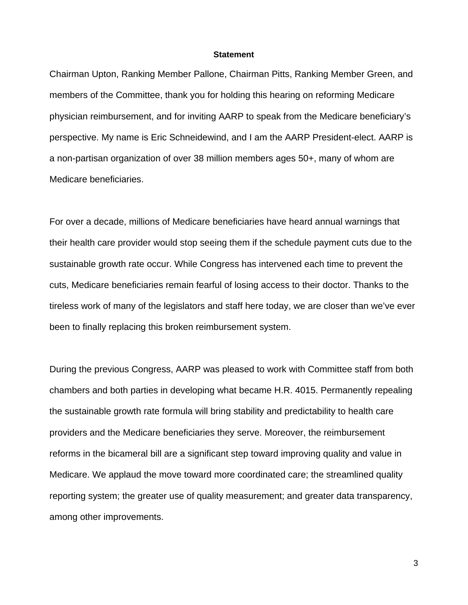## **Statement**

Chairman Upton, Ranking Member Pallone, Chairman Pitts, Ranking Member Green, and members of the Committee, thank you for holding this hearing on reforming Medicare physician reimbursement, and for inviting AARP to speak from the Medicare beneficiary's perspective. My name is Eric Schneidewind, and I am the AARP President-elect. AARP is a non-partisan organization of over 38 million members ages 50+, many of whom are Medicare beneficiaries.

For over a decade, millions of Medicare beneficiaries have heard annual warnings that their health care provider would stop seeing them if the schedule payment cuts due to the sustainable growth rate occur. While Congress has intervened each time to prevent the cuts, Medicare beneficiaries remain fearful of losing access to their doctor. Thanks to the tireless work of many of the legislators and staff here today, we are closer than we've ever been to finally replacing this broken reimbursement system.

During the previous Congress, AARP was pleased to work with Committee staff from both chambers and both parties in developing what became H.R. 4015. Permanently repealing the sustainable growth rate formula will bring stability and predictability to health care providers and the Medicare beneficiaries they serve. Moreover, the reimbursement reforms in the bicameral bill are a significant step toward improving quality and value in Medicare. We applaud the move toward more coordinated care; the streamlined quality reporting system; the greater use of quality measurement; and greater data transparency, among other improvements.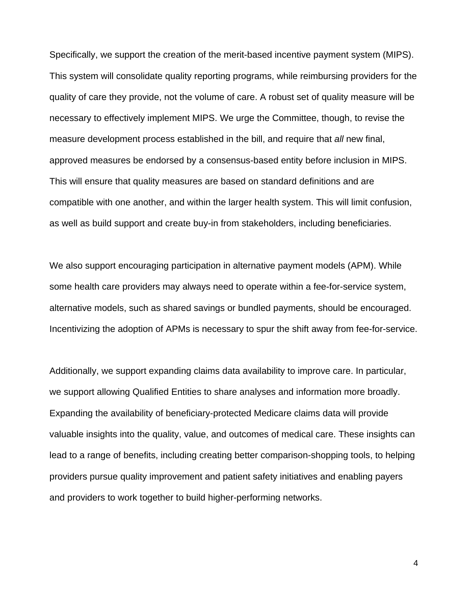Specifically, we support the creation of the merit-based incentive payment system (MIPS). This system will consolidate quality reporting programs, while reimbursing providers for the quality of care they provide, not the volume of care. A robust set of quality measure will be necessary to effectively implement MIPS. We urge the Committee, though, to revise the measure development process established in the bill, and require that *all* new final, approved measures be endorsed by a consensus-based entity before inclusion in MIPS. This will ensure that quality measures are based on standard definitions and are compatible with one another, and within the larger health system. This will limit confusion, as well as build support and create buy-in from stakeholders, including beneficiaries.

We also support encouraging participation in alternative payment models (APM). While some health care providers may always need to operate within a fee-for-service system, alternative models, such as shared savings or bundled payments, should be encouraged. Incentivizing the adoption of APMs is necessary to spur the shift away from fee-for-service.

Additionally, we support expanding claims data availability to improve care. In particular, we support allowing Qualified Entities to share analyses and information more broadly. Expanding the availability of beneficiary-protected Medicare claims data will provide valuable insights into the quality, value, and outcomes of medical care. These insights can lead to a range of benefits, including creating better comparison-shopping tools, to helping providers pursue quality improvement and patient safety initiatives and enabling payers and providers to work together to build higher-performing networks.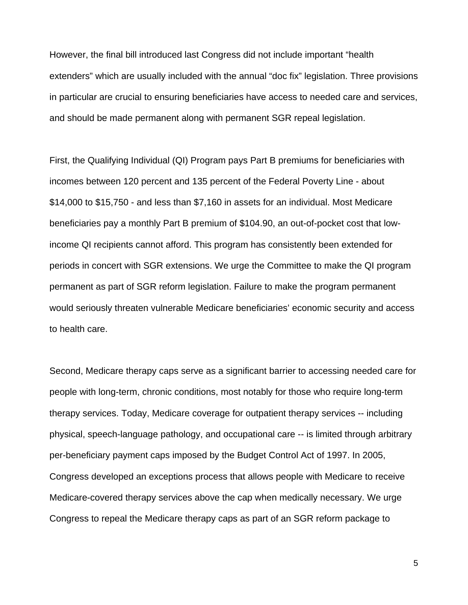However, the final bill introduced last Congress did not include important "health extenders" which are usually included with the annual "doc fix" legislation. Three provisions in particular are crucial to ensuring beneficiaries have access to needed care and services, and should be made permanent along with permanent SGR repeal legislation.

First, the Qualifying Individual (QI) Program pays Part B premiums for beneficiaries with incomes between 120 percent and 135 percent of the Federal Poverty Line - about \$14,000 to \$15,750 - and less than \$7,160 in assets for an individual. Most Medicare beneficiaries pay a monthly Part B premium of \$104.90, an out-of-pocket cost that lowincome QI recipients cannot afford. This program has consistently been extended for periods in concert with SGR extensions. We urge the Committee to make the QI program permanent as part of SGR reform legislation. Failure to make the program permanent would seriously threaten vulnerable Medicare beneficiaries' economic security and access to health care.

Second, Medicare therapy caps serve as a significant barrier to accessing needed care for people with long-term, chronic conditions, most notably for those who require long-term therapy services. Today, Medicare coverage for outpatient therapy services -- including physical, speech-language pathology, and occupational care -- is limited through arbitrary per-beneficiary payment caps imposed by the Budget Control Act of 1997. In 2005, Congress developed an exceptions process that allows people with Medicare to receive Medicare-covered therapy services above the cap when medically necessary. We urge Congress to repeal the Medicare therapy caps as part of an SGR reform package to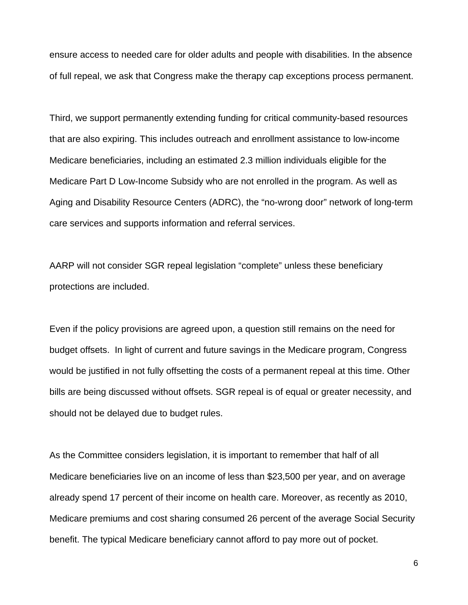ensure access to needed care for older adults and people with disabilities. In the absence of full repeal, we ask that Congress make the therapy cap exceptions process permanent.

Third, we support permanently extending funding for critical community-based resources that are also expiring. This includes outreach and enrollment assistance to low-income Medicare beneficiaries, including an estimated 2.3 million individuals eligible for the Medicare Part D Low-Income Subsidy who are not enrolled in the program. As well as Aging and Disability Resource Centers (ADRC), the "no-wrong door" network of long-term care services and supports information and referral services.

AARP will not consider SGR repeal legislation "complete" unless these beneficiary protections are included.

Even if the policy provisions are agreed upon, a question still remains on the need for budget offsets. In light of current and future savings in the Medicare program, Congress would be justified in not fully offsetting the costs of a permanent repeal at this time. Other bills are being discussed without offsets. SGR repeal is of equal or greater necessity, and should not be delayed due to budget rules.

As the Committee considers legislation, it is important to remember that half of all Medicare beneficiaries live on an income of less than \$23,500 per year, and on average already spend 17 percent of their income on health care. Moreover, as recently as 2010, Medicare premiums and cost sharing consumed 26 percent of the average Social Security benefit. The typical Medicare beneficiary cannot afford to pay more out of pocket.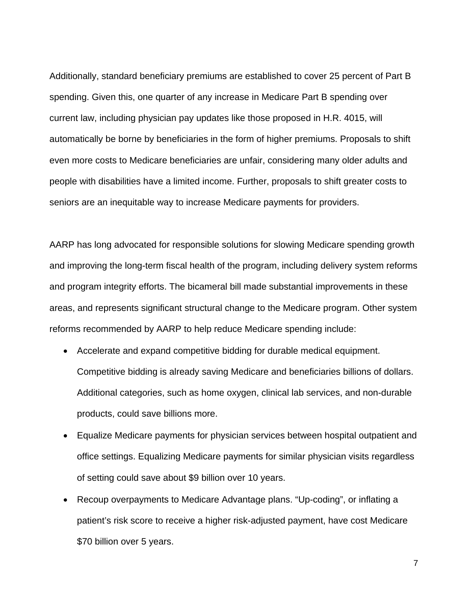Additionally, standard beneficiary premiums are established to cover 25 percent of Part B spending. Given this, one quarter of any increase in Medicare Part B spending over current law, including physician pay updates like those proposed in H.R. 4015, will automatically be borne by beneficiaries in the form of higher premiums. Proposals to shift even more costs to Medicare beneficiaries are unfair, considering many older adults and people with disabilities have a limited income. Further, proposals to shift greater costs to seniors are an inequitable way to increase Medicare payments for providers.

AARP has long advocated for responsible solutions for slowing Medicare spending growth and improving the long-term fiscal health of the program, including delivery system reforms and program integrity efforts. The bicameral bill made substantial improvements in these areas, and represents significant structural change to the Medicare program. Other system reforms recommended by AARP to help reduce Medicare spending include:

- Accelerate and expand competitive bidding for durable medical equipment. Competitive bidding is already saving Medicare and beneficiaries billions of dollars. Additional categories, such as home oxygen, clinical lab services, and non-durable products, could save billions more.
- Equalize Medicare payments for physician services between hospital outpatient and office settings. Equalizing Medicare payments for similar physician visits regardless of setting could save about \$9 billion over 10 years.
- Recoup overpayments to Medicare Advantage plans. "Up-coding", or inflating a patient's risk score to receive a higher risk-adjusted payment, have cost Medicare \$70 billion over 5 years.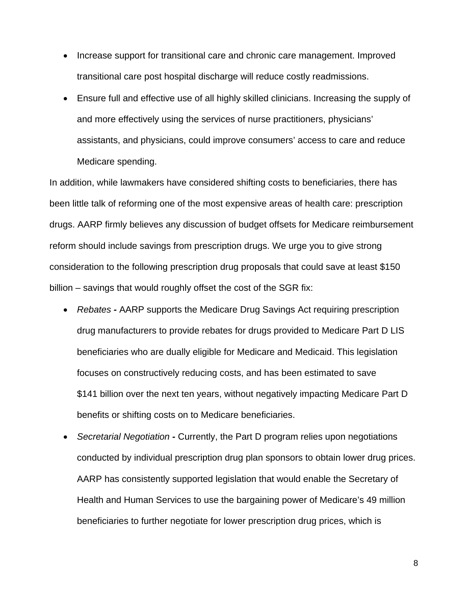- Increase support for transitional care and chronic care management. Improved transitional care post hospital discharge will reduce costly readmissions.
- Ensure full and effective use of all highly skilled clinicians. Increasing the supply of and more effectively using the services of nurse practitioners, physicians' assistants, and physicians, could improve consumers' access to care and reduce Medicare spending.

In addition, while lawmakers have considered shifting costs to beneficiaries, there has been little talk of reforming one of the most expensive areas of health care: prescription drugs. AARP firmly believes any discussion of budget offsets for Medicare reimbursement reform should include savings from prescription drugs. We urge you to give strong consideration to the following prescription drug proposals that could save at least \$150 billion – savings that would roughly offset the cost of the SGR fix:

- *Rebates* AARP supports the Medicare Drug Savings Act requiring prescription drug manufacturers to provide rebates for drugs provided to Medicare Part D LIS beneficiaries who are dually eligible for Medicare and Medicaid. This legislation focuses on constructively reducing costs, and has been estimated to save \$141 billion over the next ten years, without negatively impacting Medicare Part D benefits or shifting costs on to Medicare beneficiaries.
- *Secretarial Negotiation* Currently, the Part D program relies upon negotiations conducted by individual prescription drug plan sponsors to obtain lower drug prices. AARP has consistently supported legislation that would enable the Secretary of Health and Human Services to use the bargaining power of Medicare's 49 million beneficiaries to further negotiate for lower prescription drug prices, which is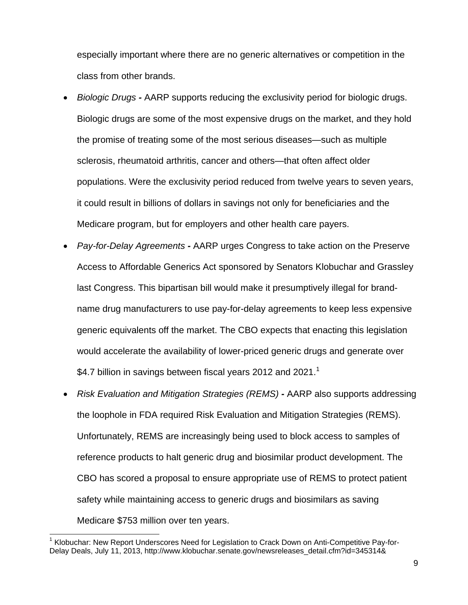especially important where there are no generic alternatives or competition in the class from other brands.

- *Biologic Drugs* AARP supports reducing the exclusivity period for biologic drugs. Biologic drugs are some of the most expensive drugs on the market, and they hold the promise of treating some of the most serious diseases—such as multiple sclerosis, rheumatoid arthritis, cancer and others—that often affect older populations. Were the exclusivity period reduced from twelve years to seven years, it could result in billions of dollars in savings not only for beneficiaries and the Medicare program, but for employers and other health care payers.
- *Pay-for-Delay Agreements* AARP urges Congress to take action on the Preserve Access to Affordable Generics Act sponsored by Senators Klobuchar and Grassley last Congress. This bipartisan bill would make it presumptively illegal for brandname drug manufacturers to use pay-for-delay agreements to keep less expensive generic equivalents off the market. The CBO expects that enacting this legislation would accelerate the availability of lower-priced generic drugs and generate over \$4.7 billion in savings between fiscal years 2012 and 2021. $^1$
- *Risk Evaluation and Mitigation Strategies (REMS)* AARP also supports addressing the loophole in FDA required Risk Evaluation and Mitigation Strategies (REMS). Unfortunately, REMS are increasingly being used to block access to samples of reference products to halt generic drug and biosimilar product development. The CBO has scored a proposal to ensure appropriate use of REMS to protect patient safety while maintaining access to generic drugs and biosimilars as saving Medicare \$753 million over ten years.

 <sup>1</sup> Klobuchar: New Report Underscores Need for Legislation to Crack Down on Anti-Competitive Pay-for-Delay Deals, July 11, 2013, http://www.klobuchar.senate.gov/newsreleases\_detail.cfm?id=345314&